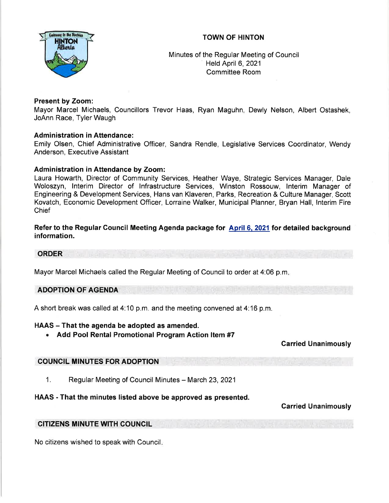# TOWN OF HINTON



Minutes of the Regular Meeting of Council Held April 6, 2021 Committee Room

## Present by Zoom:

Mayor Marcel Michaels, Councillors Trevor Haas, Ryan Maguhn, Dewly Nelson, Albert Ostashek, JoAnn Race, Tyler Waugh

## Administration in Attendance:

Emily Olsen, Chief Administrative Officer, Sandra Rendle, Legislative Services Coordinator, Wendy Anderson, Executive Assistant

# Administration in Attendance by Zoom:

Laura Howarth, Director of Community Services, Heather Waye, Strategic Services Manager, Dale Woloszyn, lnterim Director of lnfrastructure Services, Winston Rossouw, lnterim Manager of Engineering & Development Services, Hans van Klaveren, Parks, Recreation & Culture Manager, Scott Kovatch, Economic Development Officer, Lorraine Walker, Municipal Planner, Bryan Hall, lnterim Fire Chief

## Refer to the Regular Council Meeting Agenda package for April 6, 2021 for detailed background information.

## ORDER

Mayor Marcel Michaels called the Regular Meeting of Council to order at 4:06 p.m

## ADOPTION OF AGENDA

A short break was called at 4:10 p.m. and the meeting convened at 4:16 p.m.

## HAAS - That the agenda be adopted as amended.

. Add Pool Rental Promotional Program Action ltem #7

Carried Unanimously

## COUNCIL MINUTES FOR ADOPTION

1. Regular Meeting of Council Minutes - March 23, 2021

# HAAS - That the minutes listed above be approved as presented.

# Garried Unanimously

## CITIZENS MINUTE WITH COUNCIL

No citizens wished to speak with Council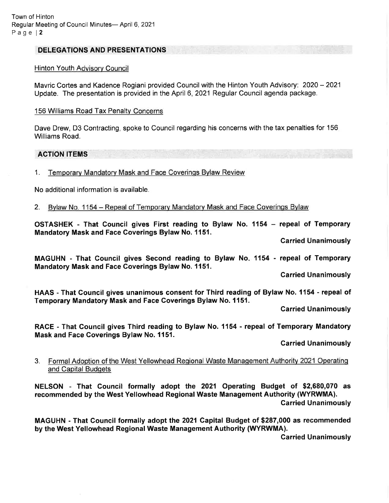## DELEGATIONS AND PRESENTATIONS

#### Hinton Youth Advisory Council

Mavric Cortes and Kadence Rogiani provided Council with the Hinton Youth Advisory: 2020 - <sup>2021</sup> Update. The presentation is provided in the April 6, 2021 Regular Council agenda package.

#### 156 Williams Road Tax Penalty Concerns

Dave Drew, D3 Contracting, spoke to Council regarding his concerns with the tax penalties for 156 Williams Road.

#### ACTION ITEMS

1. Temporarv Mandatorv Mask and Face Coverinqs Bvlaw Review

No additional information is available.

2. Bylaw No. 1154 - Repeal of Temporary Mandatory Mask and Face Coverings Bylaw

OSTASHEK - That Gouncil gives First reading to Bylaw No. 1154 - repeal of Temporary Mandatory Mask and Face Goverings Bylaw No. 1151.

Carried Unanimously

MAGUHN - That Council gives Second reading to Bylaw No '1154 - repeal of Temporary Mandatory Mask and Face Coverings Bylaw No. 1151.

Carried Unanimously

HAAS - That Council gives unanimous consent for Third reading of Bylaw No. 1154 - repeal of Temporary Mandatory Mask and Face Goverings Bylaw No. 1151.

Carried Unanimously

RACE - That Gouncil gives Third reading to Bylaw No. 1154 - repeal of Temporary Mandatory Mask and Face Goverings Bylaw No. 1151.

Garried Unanimously

### 3. Formal Adoption of the West Yellowhead Regional Waste Management Authority 2021 Operating and Capital Budqets

NELSON - That Council formally adopt the 2021 Operating Budget of \$2,680,070 as recommended by the West Yellowhead Regional Waste Management Authority (WYRWMA). Carried Unanimously

MAGUHN - That Gouncil formally adopt the 2021 Capital Budget of \$287,000 as recommended by the West Yellowhead Regional Waste Management Authority (WYRWMA).

Carried Unanimously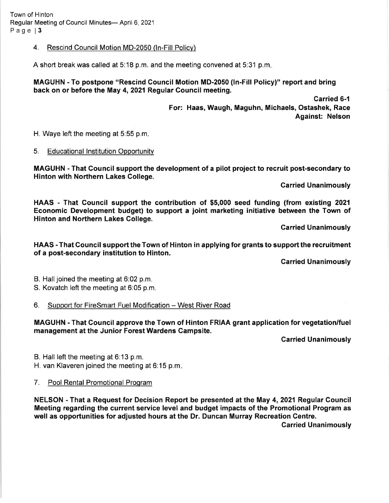Town of Hinton Regular Meeting of Council Minutes- April 6, 2021 Page | 3

### 4. Rescind Council Motion MD-2050 (ln-Fill Policv)

A short break was called at 5:18 p.m. and the meeting convened at 5:31 p.m

MAGUHN - To postpone "Rescind Gouncil Motion MD-2050 (ln-Fill Policy)" report and bring back on or before the May 4,2021 Regular Gouncil meeting.

> Garried 6-1 For: Haas, Waugh, Maguhn, Michaels, Ostashek, Race Against: Nelson

H. Waye left the meeting at 5:55 p.m

### 5. Educational lnstitution Opportunitv

MAGUHN - That Council support the development of a pilot project to recruit post-secondary to Hinton with Northern Lakes Gollege.

Carried Unanimously

HAAS - That Council support the contribution of \$5,000 seed funding (from existing <sup>2021</sup> Economic Development budget) to support a joint marketing initiative between the Town of Hinton and Northern Lakes Gollege.

Carried Unanimously

HAAS - That Council support the Town of Hinton in applying for grants to support the recruitment of a post-secondary institution to Hinton.

Carried Unanimously

B. Hall joined the meeting at 6:02 p.m.

S. Kovatch left the meeting at 6:05 p.m

6. Support for FireSmart Fuel Modification - West River Road

MAGUHN - That Gouncil approve the Town of Hinton FRIAA grant application for vegetation/fuel management at the Junior Forest Wardens Gampsite.

Carried Unanimously

B. Hall left the meeting at 6:13 p.m.

H. van Klaveren joined the meeting at 6:15 p.m

7. Pool Rental Promotional Program

NELSON - That a Request for Decision Report be presented at the May 4,2021 Regular Gouncil Meeting regarding the current service level and budget impacts of the Promotional Program as well as opportunities for adjusted hours at the Dr. Duncan Murray Recreation Centre.

Garried Unanimously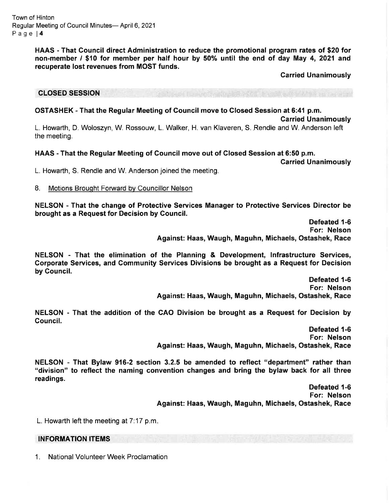Town of Hinton Regular Meeting of Council Minutes- April 6, 2021 Page l4

> HAAS - That Council direct Administration to reduce the promotional program rates of \$20 for non-member / \$10 for member per half hour by 50% until the end of day May 4, 2021 and recuperate lost revenues from MOST funds.

> > Carried Unanimously

#### CLOSED SESSION

#### OSTASHEK - That the Regular Meeting of Council move to Glosed Session at 6:41 p.m.

Garried Unanimously

L. Howarth, D. Woloszyn, W. Rossouw, L. Walker, H. van Klaveren, S..Rendle and W Anderson left the meeting.

#### HAAS - That the Regular Meeting of Council move out of Closed Session at 6:50 p.m.

Carried Unanimously

L. Howarth, S. Rendle and W. Anderson joined the meeting.

8. Motions Brought Forward by Councillor Nelson

NELSON - That the change of Protective Services Manager to Protective Services Director be brought as a Request for Decision by Gouncil.

> Defeated 1-6 For: Nelson Against: Haas, Waugh, Maguhn, Michaels, Ostashek, Race

NELSON - That the elimination of the Planning & Development, lnfrastructure Services, Corporate Services, and Gommunity Services Divisions be brought as a Request for Decision by Gouncil.

> Defeated 1-6 For: Nelson Against: Haas, Waugh, Maguhn, Michaels, Ostashek, Race

NELSON - That the addition of the CAO Division be brought as a Request for Decision by Gouncil.

> Defeated 1-6 For: Nelson Against: Haas, Waugh, Maguhn, Michaels, Ostashek, Race

NELSON - That Bylaw 916-2 section 3.2.5 be amended to reflect "department" rather than "division" to reflect the naming convention changes and bring the bylaw back for all three readings.

> Defeated 1-6 For: Nelson Against: Haas, Waugh, Maguhn, Michaels, Ostashek, Race

L. Howarth left the meeting at  $7:17$  p.m.

### INFORMATION ITEMS

1. National Volunteer Week Proclamation